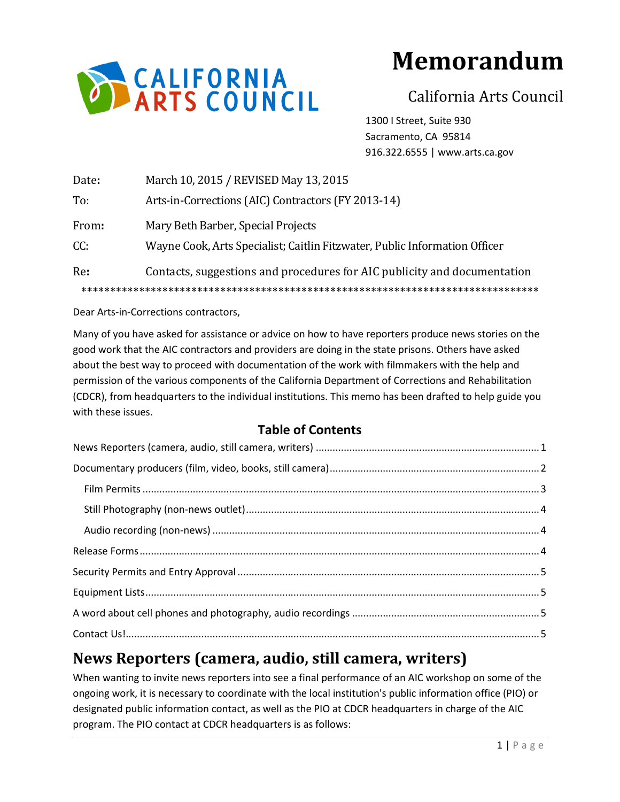

# **Memorandum**

# California Arts Council

1300 I Street, Suite 930 Sacramento, CA 95814 916.322.6555 | www.arts.ca.gov

| Date: | March 10, 2015 / REVISED May 13, 2015                                      |
|-------|----------------------------------------------------------------------------|
| To:   | Arts-in-Corrections (AIC) Contractors (FY 2013-14)                         |
| From: | Mary Beth Barber, Special Projects                                         |
| CC:   | Wayne Cook, Arts Specialist; Caitlin Fitzwater, Public Information Officer |
| Re:   | Contacts, suggestions and procedures for AIC publicity and documentation   |
|       |                                                                            |

Dear Arts-in-Corrections contractors,

Many of you have asked for assistance or advice on how to have reporters produce news stories on the good work that the AIC contractors and providers are doing in the state prisons. Others have asked about the best way to proceed with documentation of the work with filmmakers with the help and permission of the various components of the California Department of Corrections and Rehabilitation (CDCR), from headquarters to the individual institutions. This memo has been drafted to help guide you with these issues.

#### **Table of Contents**

# <span id="page-0-0"></span>**News Reporters (camera, audio, still camera, writers)**

When wanting to invite news reporters into see a final performance of an AIC workshop on some of the ongoing work, it is necessary to coordinate with the local institution's public information office (PIO) or designated public information contact, as well as the PIO at CDCR headquarters in charge of the AIC program. The PIO contact at CDCR headquarters is as follows: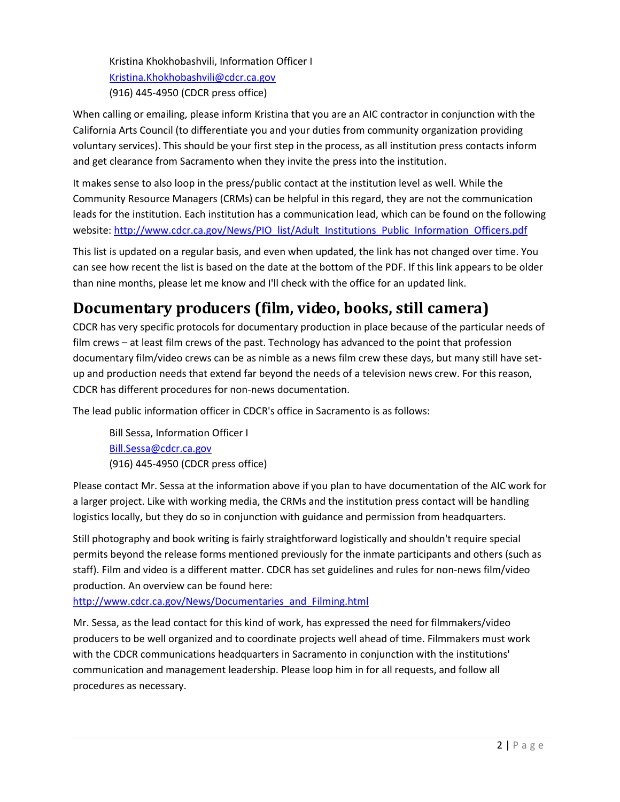Kristina Khokhobashvili, Information Officer I [Kristina.Khokhobashvili@cdcr.ca.gov](mailto:Kristina.Khokhobashvili@cdcr.ca.gov) (916) 445-4950 (CDCR press office)

When calling or emailing, please inform Kristina that you are an AIC contractor in conjunction with the California Arts Council (to differentiate you and your duties from community organization providing voluntary services). This should be your first step in the process, as all institution press contacts inform and get clearance from Sacramento when they invite the press into the institution.

It makes sense to also loop in the press/public contact at the institution level as well. While the Community Resource Managers (CRMs) can be helpful in this regard, they are not the communication leads for the institution. Each institution has a communication lead, which can be found on the following website[: http://www.cdcr.ca.gov/News/PIO\\_list/Adult\\_Institutions\\_Public\\_Information\\_Officers.pdf](http://www.cdcr.ca.gov/News/PIO_list/Adult_Institutions_Public_Information_Officers.pdf)

This list is updated on a regular basis, and even when updated, the link has not changed over time. You can see how recent the list is based on the date at the bottom of the PDF. If this link appears to be older than nine months, please let me know and I'll check with the office for an updated link.

# <span id="page-1-0"></span>**Documentary producers (film, video, books, still camera)**

CDCR has very specific protocols for documentary production in place because of the particular needs of film crews – at least film crews of the past. Technology has advanced to the point that profession documentary film/video crews can be as nimble as a news film crew these days, but many still have setup and production needs that extend far beyond the needs of a television news crew. For this reason, CDCR has different procedures for non-news documentation.

The lead public information officer in CDCR's office in Sacramento is as follows:

Bill Sessa, Information Officer I [Bill.Sessa@cdcr.ca.gov](mailto:Bill.Sessa@cdcr.ca.gov) (916) 445-4950 (CDCR press office)

Please contact Mr. Sessa at the information above if you plan to have documentation of the AIC work for a larger project. Like with working media, the CRMs and the institution press contact will be handling logistics locally, but they do so in conjunction with guidance and permission from headquarters.

Still photography and book writing is fairly straightforward logistically and shouldn't require special permits beyond the release forms mentioned previously for the inmate participants and others (such as staff). Film and video is a different matter. CDCR has set guidelines and rules for non-news film/video production. An overview can be found here:

[http://www.cdcr.ca.gov/News/Documentaries\\_and\\_Filming.html](http://www.cdcr.ca.gov/News/Documentaries_and_Filming.html)

Mr. Sessa, as the lead contact for this kind of work, has expressed the need for filmmakers/video producers to be well organized and to coordinate projects well ahead of time. Filmmakers must work with the CDCR communications headquarters in Sacramento in conjunction with the institutions' communication and management leadership. Please loop him in for all requests, and follow all procedures as necessary.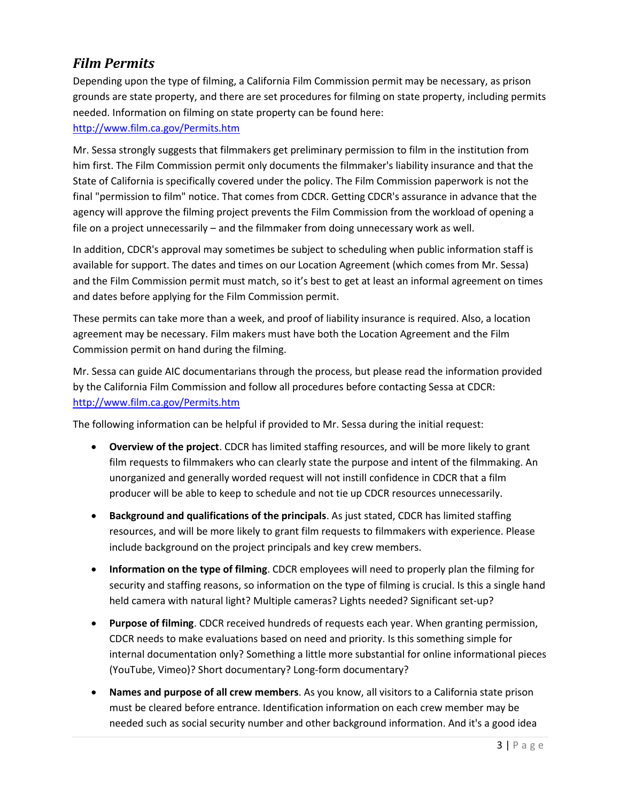#### <span id="page-2-0"></span>*Film Permits*

Depending upon the type of filming, a California Film Commission permit may be necessary, as prison grounds are state property, and there are set procedures for filming on state property, including permits needed. Information on filming on state property can be found here:

#### <http://www.film.ca.gov/Permits.htm>

Mr. Sessa strongly suggests that filmmakers get preliminary permission to film in the institution from him first. The Film Commission permit only documents the filmmaker's liability insurance and that the State of California is specifically covered under the policy. The Film Commission paperwork is not the final "permission to film" notice. That comes from CDCR. Getting CDCR's assurance in advance that the agency will approve the filming project prevents the Film Commission from the workload of opening a file on a project unnecessarily – and the filmmaker from doing unnecessary work as well.

In addition, CDCR's approval may sometimes be subject to scheduling when public information staff is available for support. The dates and times on our Location Agreement (which comes from Mr. Sessa) and the Film Commission permit must match, so it's best to get at least an informal agreement on times and dates before applying for the Film Commission permit.

These permits can take more than a week, and proof of liability insurance is required. Also, a location agreement may be necessary. Film makers must have both the Location Agreement and the Film Commission permit on hand during the filming.

Mr. Sessa can guide AIC documentarians through the process, but please read the information provided by the California Film Commission and follow all procedures before contacting Sessa at CDCR: <http://www.film.ca.gov/Permits.htm>

The following information can be helpful if provided to Mr. Sessa during the initial request:

- **Overview of the project**. CDCR has limited staffing resources, and will be more likely to grant film requests to filmmakers who can clearly state the purpose and intent of the filmmaking. An unorganized and generally worded request will not instill confidence in CDCR that a film producer will be able to keep to schedule and not tie up CDCR resources unnecessarily.
- **Background and qualifications of the principals**. As just stated, CDCR has limited staffing resources, and will be more likely to grant film requests to filmmakers with experience. Please include background on the project principals and key crew members.
- **Information on the type of filming**. CDCR employees will need to properly plan the filming for security and staffing reasons, so information on the type of filming is crucial. Is this a single hand held camera with natural light? Multiple cameras? Lights needed? Significant set-up?
- **Purpose of filming**. CDCR received hundreds of requests each year. When granting permission, CDCR needs to make evaluations based on need and priority. Is this something simple for internal documentation only? Something a little more substantial for online informational pieces (YouTube, Vimeo)? Short documentary? Long-form documentary?
- **Names and purpose of all crew members**. As you know, all visitors to a California state prison must be cleared before entrance. Identification information on each crew member may be needed such as social security number and other background information. And it's a good idea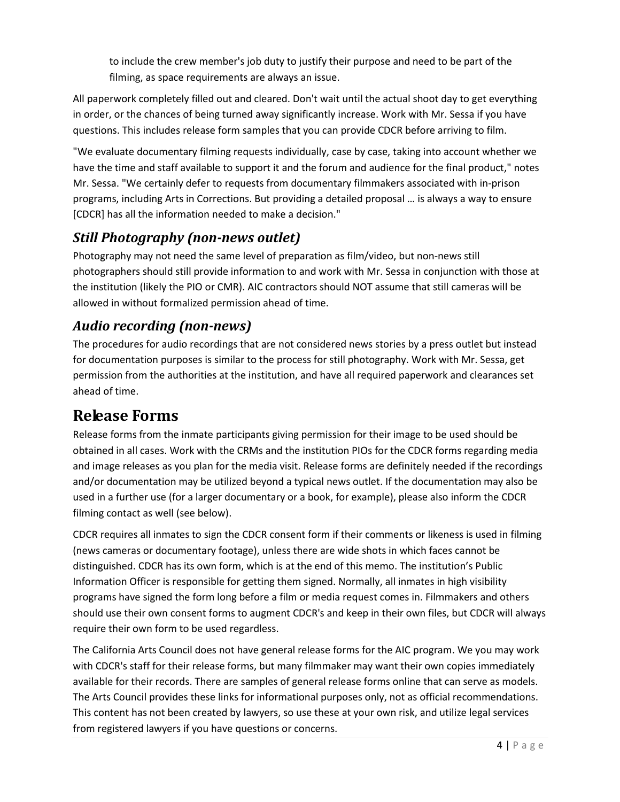to include the crew member's job duty to justify their purpose and need to be part of the filming, as space requirements are always an issue.

All paperwork completely filled out and cleared. Don't wait until the actual shoot day to get everything in order, or the chances of being turned away significantly increase. Work with Mr. Sessa if you have questions. This includes release form samples that you can provide CDCR before arriving to film.

"We evaluate documentary filming requests individually, case by case, taking into account whether we have the time and staff available to support it and the forum and audience for the final product," notes Mr. Sessa. "We certainly defer to requests from documentary filmmakers associated with in-prison programs, including Arts in Corrections. But providing a detailed proposal … is always a way to ensure [CDCR] has all the information needed to make a decision."

## <span id="page-3-0"></span>*Still Photography (non-news outlet)*

Photography may not need the same level of preparation as film/video, but non-news still photographers should still provide information to and work with Mr. Sessa in conjunction with those at the institution (likely the PIO or CMR). AIC contractors should NOT assume that still cameras will be allowed in without formalized permission ahead of time.

### <span id="page-3-1"></span>*Audio recording (non-news)*

The procedures for audio recordings that are not considered news stories by a press outlet but instead for documentation purposes is similar to the process for still photography. Work with Mr. Sessa, get permission from the authorities at the institution, and have all required paperwork and clearances set ahead of time.

## <span id="page-3-2"></span>**Release Forms**

Release forms from the inmate participants giving permission for their image to be used should be obtained in all cases. Work with the CRMs and the institution PIOs for the CDCR forms regarding media and image releases as you plan for the media visit. Release forms are definitely needed if the recordings and/or documentation may be utilized beyond a typical news outlet. If the documentation may also be used in a further use (for a larger documentary or a book, for example), please also inform the CDCR filming contact as well (see below).

CDCR requires all inmates to sign the CDCR consent form if their comments or likeness is used in filming (news cameras or documentary footage), unless there are wide shots in which faces cannot be distinguished. CDCR has its own form, which is at the end of this memo. The institution's Public Information Officer is responsible for getting them signed. Normally, all inmates in high visibility programs have signed the form long before a film or media request comes in. Filmmakers and others should use their own consent forms to augment CDCR's and keep in their own files, but CDCR will always require their own form to be used regardless.

The California Arts Council does not have general release forms for the AIC program. We you may work with CDCR's staff for their release forms, but many filmmaker may want their own copies immediately available for their records. There are samples of general release forms online that can serve as models. The Arts Council provides these links for informational purposes only, not as official recommendations. This content has not been created by lawyers, so use these at your own risk, and utilize legal services from registered lawyers if you have questions or concerns.